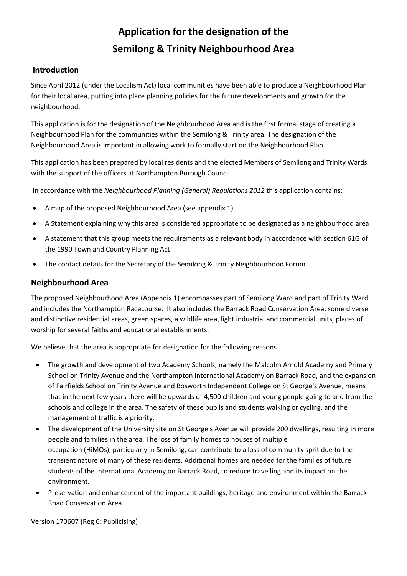# **Application for the designation of the Semilong & Trinity Neighbourhood Area**

### **Introduction**

Since April 2012 (under the Localism Act) local communities have been able to produce a Neighbourhood Plan for their local area, putting into place planning policies for the future developments and growth for the neighbourhood.

This application is for the designation of the Neighbourhood Area and is the first formal stage of creating a Neighbourhood Plan for the communities within the Semilong & Trinity area. The designation of the Neighbourhood Area is important in allowing work to formally start on the Neighbourhood Plan.

This application has been prepared by local residents and the elected Members of Semilong and Trinity Wards with the support of the officers at Northampton Borough Council.

In accordance with the *Neighbourhood Planning (General) Regulations 2012* this application contains:

- A map of the proposed Neighbourhood Area (see appendix 1)
- A Statement explaining why this area is considered appropriate to be designated as a neighbourhood area
- A statement that this group meets the requirements as a relevant body in accordance with section 61G of the 1990 Town and Country Planning Act
- The contact details for the Secretary of the Semilong & Trinity Neighbourhood Forum.

#### **Neighbourhood Area**

The proposed Neighbourhood Area (Appendix 1) encompasses part of Semilong Ward and part of Trinity Ward and includes the Northampton Racecourse. It also includes the Barrack Road Conservation Area, some diverse and distinctive residential areas, green spaces, a wildlife area, light industrial and commercial units, places of worship for several faiths and educational establishments.

We believe that the area is appropriate for designation for the following reasons

- The growth and development of two Academy Schools, namely the Malcolm Arnold Academy and Primary School on Trinity Avenue and the Northampton International Academy on Barrack Road, and the expansion of Fairfields School on Trinity Avenue and Bosworth Independent College on St George's Avenue, means that in the next few years there will be upwards of 4,500 children and young people going to and from the schools and college in the area. The safety of these pupils and students walking or cycling, and the management of traffic is a priority.
- The development of the University site on St George's Avenue will provide 200 dwellings, resulting in more people and families in the area. The loss of family homes to houses of multiple occupation (HiMOs), particularly in Semilong, can contribute to a loss of community sprit due to the transient nature of many of these residents. Additional homes are needed for the families of future students of the International Academy on Barrack Road, to reduce travelling and its impact on the environment.
- Preservation and enhancement of the important buildings, heritage and environment within the Barrack Road Conservation Area.

Version 170607 (Reg 6: Publicising)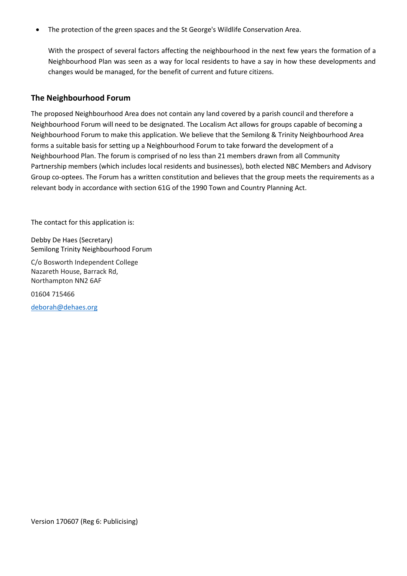• The protection of the green spaces and the St George's Wildlife Conservation Area.

With the prospect of several factors affecting the neighbourhood in the next few years the formation of a Neighbourhood Plan was seen as a way for local residents to have a say in how these developments and changes would be managed, for the benefit of current and future citizens.

#### **The Neighbourhood Forum**

The proposed Neighbourhood Area does not contain any land covered by a parish council and therefore a Neighbourhood Forum will need to be designated. The Localism Act allows for groups capable of becoming a Neighbourhood Forum to make this application. We believe that the Semilong & Trinity Neighbourhood Area forms a suitable basis for setting up a Neighbourhood Forum to take forward the development of a Neighbourhood Plan. The forum is comprised of no less than 21 members drawn from all Community Partnership members (which includes local residents and businesses), both elected NBC Members and Advisory Group co-optees. The Forum has a written constitution and believes that the group meets the requirements as a relevant body in accordance with section 61G of the 1990 Town and Country Planning Act.

The contact for this application is:

Debby De Haes (Secretary) Semilong Trinity Neighbourhood Forum

C/o Bosworth Independent College Nazareth House, Barrack Rd, Northampton NN2 6AF

01604 715466

[deborah@dehaes.org](mailto:deborah@dehaes.org)